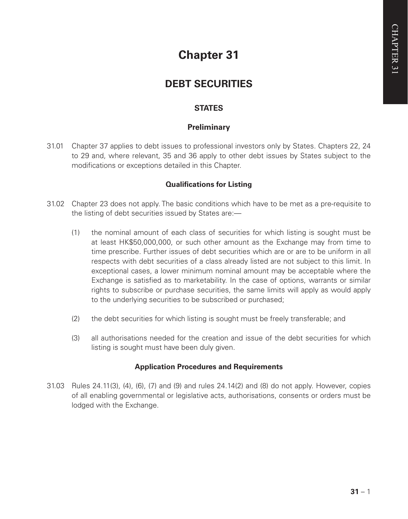# **Chapter 31**

## **DEBT SECURITIES**

## **STATES**

## **Preliminary**

31.01 Chapter 37 applies to debt issues to professional investors only by States. Chapters 22, 24 to 29 and, where relevant, 35 and 36 apply to other debt issues by States subject to the modifications or exceptions detailed in this Chapter.

### **Qualifications for Listing**

- 31.02 Chapter 23 does not apply. The basic conditions which have to be met as a pre-requisite to the listing of debt securities issued by States are:—
	- (1) the nominal amount of each class of securities for which listing is sought must be at least HK\$50,000,000, or such other amount as the Exchange may from time to time prescribe. Further issues of debt securities which are or are to be uniform in all respects with debt securities of a class already listed are not subject to this limit. In exceptional cases, a lower minimum nominal amount may be acceptable where the Exchange is satisfied as to marketability. In the case of options, warrants or similar rights to subscribe or purchase securities, the same limits will apply as would apply to the underlying securities to be subscribed or purchased;
	- (2) the debt securities for which listing is sought must be freely transferable; and
	- (3) all authorisations needed for the creation and issue of the debt securities for which listing is sought must have been duly given.

#### **Application Procedures and Requirements**

31.03 Rules 24.11(3), (4), (6), (7) and (9) and rules 24.14(2) and (8) do not apply. However, copies of all enabling governmental or legislative acts, authorisations, consents or orders must be lodged with the Exchange.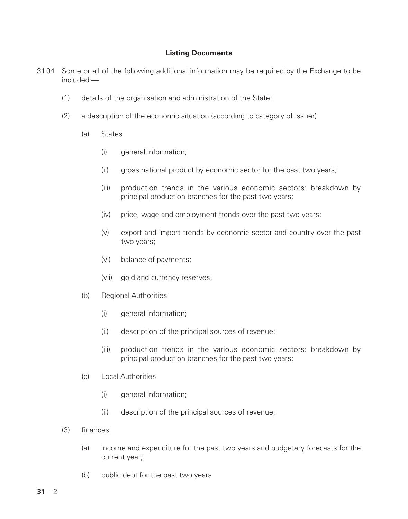#### **Listing Documents**

- 31.04 Some or all of the following additional information may be required by the Exchange to be included:—
	- (1) details of the organisation and administration of the State;
	- (2) a description of the economic situation (according to category of issuer)
		- (a) States
			- (i) general information:
			- (ii) gross national product by economic sector for the past two years;
			- (iii) production trends in the various economic sectors: breakdown by principal production branches for the past two years;
			- (iv) price, wage and employment trends over the past two years;
			- (v) export and import trends by economic sector and country over the past two years;
			- (vi) balance of payments;
			- (vii) gold and currency reserves;
		- (b) Regional Authorities
			- (i) general information;
			- (ii) description of the principal sources of revenue;
			- (iii) production trends in the various economic sectors: breakdown by principal production branches for the past two years;
		- (c) Local Authorities
			- (i) general information;
			- (ii) description of the principal sources of revenue;
	- (3) finances
		- (a) income and expenditure for the past two years and budgetary forecasts for the current year;
		- (b) public debt for the past two years.